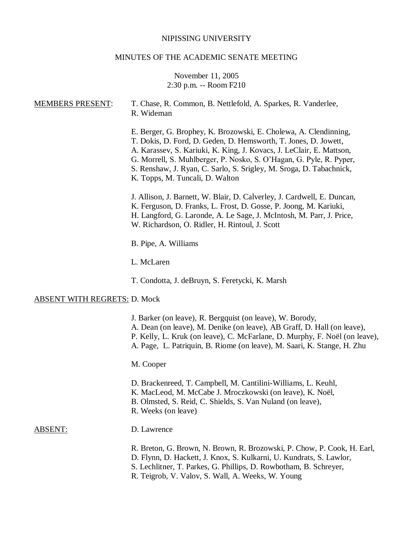#### NIPISSING UNIVERSITY

#### MINUTES OF THE ACADEMIC SENATE MEETING

## November 11, 2005 2:30 p.m. -- Room F210

# MEMBERS PRESENT: T. Chase, R. Common, B. Nettlefold, A. Sparkes, R. Vanderlee, R. Wideman E. Berger, G. Brophey, K. Brozowski, E. Cholewa, A. Clendinning, T. Dokis, D. Ford, D. Geden, D. Hemsworth, T. Jones, D. Jowett, A. Karassev, S. Kariuki, K. King, J. Kovacs, J. LeClair, E. Mattson, G. Morrell, S. Muhlberger, P. Nosko, S. O'Hagan, G. Pyle, R. Pyper, S. Renshaw, J. Ryan, C. Sarlo, S. Srigley, M. Sroga, D. Tabachnick, K. Topps, M. Tuncali, D. Walton J. Allison, J. Barnett, W. Blair, D. Calverley, J. Cardwell, E. Duncan, K. Ferguson, D. Franks, L. Frost, D. Gosse, P. Joong, M. Kariuki, H. Langford, G. Laronde, A. Le Sage, J. McIntosh, M. Parr, J. Price, W. Richardson, O. Ridler, H. Rintoul, J. Scott B. Pipe, A. Williams L. McLaren T. Condotta, J. deBruyn, S. Feretycki, K. Marsh ABSENT WITH REGRETS: D. Mock J. Barker (on leave), R. Bergquist (on leave), W. Borody, A. Dean (on leave), M. Denike (on leave), AB Graff, D. Hall (on leave), P. Kelly, L. Kruk (on leave), C. McFarlane, D. Murphy, F. Noël (on leave), A. Page, L. Patriquin, B. Riome (on leave), M. Saari, K. Stange, H. Zhu M. Cooper D. Brackenreed, T. Campbell, M. Cantilini-Williams, L. Keuhl, K. MacLeod, M. McCabe J. Mroczkowski (on leave), K. Noël, B. Olmsted, S. Reid, C. Shields, S. Van Nuland (on leave), R. Weeks (on leave) ABSENT: D. Lawrence R. Breton, G. Brown, N. Brown, R. Brozowski, P. Chow, P. Cook, H. Earl, D. Flynn, D. Hackett, J. Knox, S. Kulkarni, U. Kundrats, S. Lawlor,

- S. Lechlitner, T. Parkes, G. Phillips, D. Rowbotham, B. Schreyer,
- R. Teigrob, V. Valov, S. Wall, A. Weeks, W. Young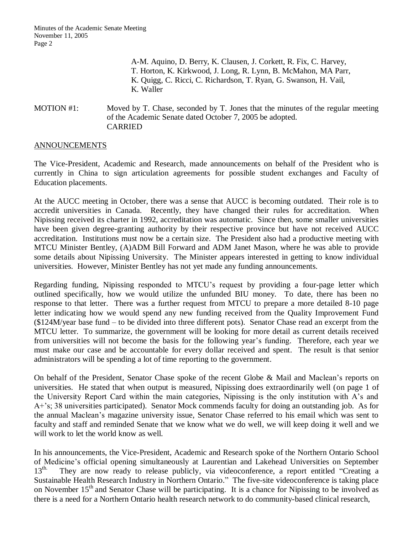A-M. Aquino, D. Berry, K. Clausen, J. Corkett, R. Fix, C. Harvey, T. Horton, K. Kirkwood, J. Long, R. Lynn, B. McMahon, MA Parr, K. Quigg, C. Ricci, C. Richardson, T. Ryan, G. Swanson, H. Vail, K. Waller

## MOTION #1: Moved by T. Chase, seconded by T. Jones that the minutes of the regular meeting of the Academic Senate dated October 7, 2005 be adopted. CARRIED

## ANNOUNCEMENTS

The Vice-President, Academic and Research, made announcements on behalf of the President who is currently in China to sign articulation agreements for possible student exchanges and Faculty of Education placements.

At the AUCC meeting in October, there was a sense that AUCC is becoming outdated. Their role is to accredit universities in Canada. Recently, they have changed their rules for accreditation. When Nipissing received its charter in 1992, accreditation was automatic. Since then, some smaller universities have been given degree-granting authority by their respective province but have not received AUCC accreditation. Institutions must now be a certain size. The President also had a productive meeting with MTCU Minister Bentley, (A)ADM Bill Forward and ADM Janet Mason, where he was able to provide some details about Nipissing University. The Minister appears interested in getting to know individual universities. However, Minister Bentley has not yet made any funding announcements.

Regarding funding, Nipissing responded to MTCU's request by providing a four-page letter which outlined specifically, how we would utilize the unfunded BIU money. To date, there has been no response to that letter. There was a further request from MTCU to prepare a more detailed 8-10 page letter indicating how we would spend any new funding received from the Quality Improvement Fund (\$124M/year base fund – to be divided into three different pots). Senator Chase read an excerpt from the MTCU letter. To summarize, the government will be looking for more detail as current details received from universities will not become the basis for the following year's funding. Therefore, each year we must make our case and be accountable for every dollar received and spent. The result is that senior administrators will be spending a lot of time reporting to the government.

On behalf of the President, Senator Chase spoke of the recent Globe & Mail and Maclean's reports on universities. He stated that when output is measured, Nipissing does extraordinarily well (on page 1 of the University Report Card within the main categories, Nipissing is the only institution with A's and A+'s; 38 universities participated). Senator Mock commends faculty for doing an outstanding job. As for the annual Maclean's magazine university issue, Senator Chase referred to his email which was sent to faculty and staff and reminded Senate that we know what we do well, we will keep doing it well and we will work to let the world know as well.

In his announcements, the Vice-President, Academic and Research spoke of the Northern Ontario School of Medicine's official opening simultaneously at Laurentian and Lakehead Universities on September 13<sup>th</sup>. They are now ready to release publicly, via videoconference, a report entitled "Creating a They are now ready to release publicly, via videoconference, a report entitled "Creating a Sustainable Health Research Industry in Northern Ontario." The five-site videoconference is taking place on November 15<sup>th</sup> and Senator Chase will be participating. It is a chance for Nipissing to be involved as there is a need for a Northern Ontario health research network to do community-based clinical research,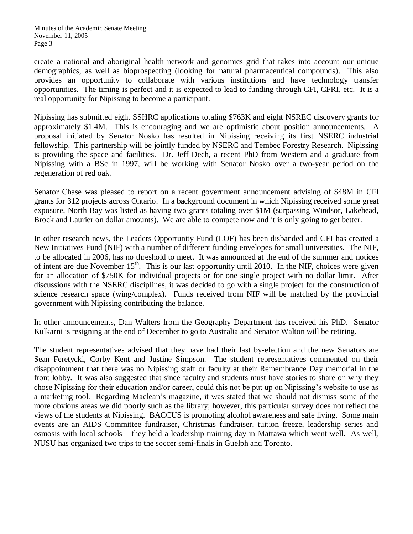create a national and aboriginal health network and genomics grid that takes into account our unique demographics, as well as bioprospecting (looking for natural pharmaceutical compounds). This also provides an opportunity to collaborate with various institutions and have technology transfer opportunities. The timing is perfect and it is expected to lead to funding through CFI, CFRI, etc. It is a real opportunity for Nipissing to become a participant.

Nipissing has submitted eight SSHRC applications totaling \$763K and eight NSREC discovery grants for approximately \$1.4M. This is encouraging and we are optimistic about position announcements. A proposal initiated by Senator Nosko has resulted in Nipissing receiving its first NSERC industrial fellowship. This partnership will be jointly funded by NSERC and Tembec Forestry Research. Nipissing is providing the space and facilities. Dr. Jeff Dech, a recent PhD from Western and a graduate from Nipissing with a BSc in 1997, will be working with Senator Nosko over a two-year period on the regeneration of red oak.

Senator Chase was pleased to report on a recent government announcement advising of \$48M in CFI grants for 312 projects across Ontario. In a background document in which Nipissing received some great exposure, North Bay was listed as having two grants totaling over \$1M (surpassing Windsor, Lakehead, Brock and Laurier on dollar amounts). We are able to compete now and it is only going to get better.

In other research news, the Leaders Opportunity Fund (LOF) has been disbanded and CFI has created a New Initiatives Fund (NIF) with a number of different funding envelopes for small universities. The NIF, to be allocated in 2006, has no threshold to meet. It was announced at the end of the summer and notices of intent are due November 15<sup>th</sup>. This is our last opportunity until 2010. In the NIF, choices were given for an allocation of \$750K for individual projects or for one single project with no dollar limit. After discussions with the NSERC disciplines, it was decided to go with a single project for the construction of science research space (wing/complex). Funds received from NIF will be matched by the provincial government with Nipissing contributing the balance.

In other announcements, Dan Walters from the Geography Department has received his PhD. Senator Kulkarni is resigning at the end of December to go to Australia and Senator Walton will be retiring.

The student representatives advised that they have had their last by-election and the new Senators are Sean Feretycki, Corby Kent and Justine Simpson. The student representatives commented on their disappointment that there was no Nipissing staff or faculty at their Remembrance Day memorial in the front lobby. It was also suggested that since faculty and students must have stories to share on why they chose Nipissing for their education and/or career, could this not be put up on Nipissing's website to use as a marketing tool. Regarding Maclean's magazine, it was stated that we should not dismiss some of the more obvious areas we did poorly such as the library; however, this particular survey does not reflect the views of the students at Nipissing. BACCUS is promoting alcohol awareness and safe living. Some main events are an AIDS Committee fundraiser, Christmas fundraiser, tuition freeze, leadership series and osmosis with local schools – they held a leadership training day in Mattawa which went well. As well, NUSU has organized two trips to the soccer semi-finals in Guelph and Toronto.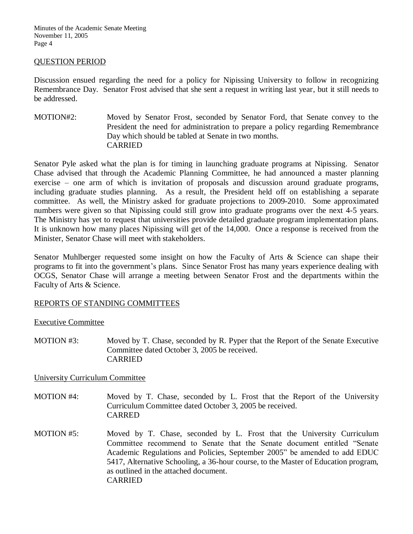## QUESTION PERIOD

Discussion ensued regarding the need for a policy for Nipissing University to follow in recognizing Remembrance Day. Senator Frost advised that she sent a request in writing last year, but it still needs to be addressed.

MOTION#2: Moved by Senator Frost, seconded by Senator Ford, that Senate convey to the President the need for administration to prepare a policy regarding Remembrance Day which should be tabled at Senate in two months. CARRIED

Senator Pyle asked what the plan is for timing in launching graduate programs at Nipissing. Senator Chase advised that through the Academic Planning Committee, he had announced a master planning exercise – one arm of which is invitation of proposals and discussion around graduate programs, including graduate studies planning. As a result, the President held off on establishing a separate committee. As well, the Ministry asked for graduate projections to 2009-2010. Some approximated numbers were given so that Nipissing could still grow into graduate programs over the next 4-5 years. The Ministry has yet to request that universities provide detailed graduate program implementation plans. It is unknown how many places Nipissing will get of the 14,000. Once a response is received from the Minister, Senator Chase will meet with stakeholders.

Senator Muhlberger requested some insight on how the Faculty of Arts & Science can shape their programs to fit into the government's plans. Since Senator Frost has many years experience dealing with OCGS, Senator Chase will arrange a meeting between Senator Frost and the departments within the Faculty of Arts & Science.

## REPORTS OF STANDING COMMITTEES

#### Executive Committee

MOTION #3: Moved by T. Chase, seconded by R. Pyper that the Report of the Senate Executive Committee dated October 3, 2005 be received. CARRIED

## University Curriculum Committee

- MOTION #4: Moved by T. Chase, seconded by L. Frost that the Report of the University Curriculum Committee dated October 3, 2005 be received. CARRED
- MOTION #5: Moved by T. Chase, seconded by L. Frost that the University Curriculum Committee recommend to Senate that the Senate document entitled "Senate Academic Regulations and Policies, September 2005" be amended to add EDUC 5417, Alternative Schooling, a 36-hour course, to the Master of Education program, as outlined in the attached document. CARRIED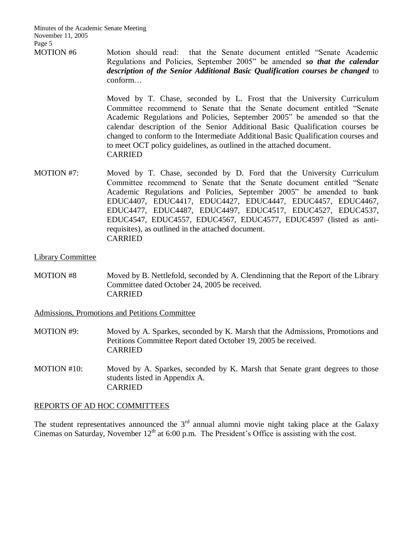Minutes of the Academic Senate Meeting November 11, 2005 Page 5

MOTION #6 Motion should read: that the Senate document entitled "Senate Academic Regulations and Policies, September 2005" be amended *so that the calendar description of the Senior Additional Basic Qualification courses be changed* to conform…

> Moved by T. Chase, seconded by L. Frost that the University Curriculum Committee recommend to Senate that the Senate document entitled "Senate Academic Regulations and Policies, September 2005" be amended so that the calendar description of the Senior Additional Basic Qualification courses be changed to conform to the Intermediate Additional Basic Qualification courses and to meet OCT policy guidelines, as outlined in the attached document. CARRIED

MOTION #7: Moved by T. Chase, seconded by D. Ford that the University Curriculum Committee recommend to Senate that the Senate document entitled "Senate Academic Regulations and Policies, September 2005" be amended to bank EDUC4407, EDUC4417, EDUC4427, EDUC4447, EDUC4457, EDUC4467, EDUC4477, EDUC4487, EDUC4497, EDUC4517, EDUC4527, EDUC4537, EDUC4547, EDUC4557, EDUC4567, EDUC4577, EDUC4597 (listed as antirequisites), as outlined in the attached document. CARRIED

#### Library Committee

MOTION #8 Moved by B. Nettlefold, seconded by A. Clendinning that the Report of the Library Committee dated October 24, 2005 be received. CARRIED

Admissions, Promotions and Petitions Committee

- MOTION #9: Moved by A. Sparkes, seconded by K. Marsh that the Admissions, Promotions and Petitions Committee Report dated October 19, 2005 be received. CARRIED
- MOTION #10: Moved by A. Sparkes, seconded by K. Marsh that Senate grant degrees to those students listed in Appendix A. CARRIED

## REPORTS OF AD HOC COMMITTEES

The student representatives announced the  $3<sup>rd</sup>$  annual alumni movie night taking place at the Galaxy Cinemas on Saturday, November  $12<sup>th</sup>$  at 6:00 p.m. The President's Office is assisting with the cost.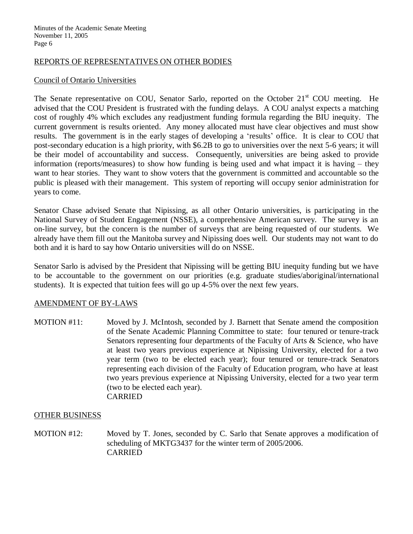## REPORTS OF REPRESENTATIVES ON OTHER BODIES

#### Council of Ontario Universities

The Senate representative on COU, Senator Sarlo, reported on the October  $21<sup>st</sup>$  COU meeting. He advised that the COU President is frustrated with the funding delays. A COU analyst expects a matching cost of roughly 4% which excludes any readjustment funding formula regarding the BIU inequity. The current government is results oriented. Any money allocated must have clear objectives and must show results. The government is in the early stages of developing a 'results' office. It is clear to COU that post-secondary education is a high priority, with \$6.2B to go to universities over the next 5-6 years; it will be their model of accountability and success. Consequently, universities are being asked to provide information (reports/measures) to show how funding is being used and what impact it is having – they want to hear stories. They want to show voters that the government is committed and accountable so the public is pleased with their management. This system of reporting will occupy senior administration for years to come.

Senator Chase advised Senate that Nipissing, as all other Ontario universities, is participating in the National Survey of Student Engagement (NSSE), a comprehensive American survey. The survey is an on-line survey, but the concern is the number of surveys that are being requested of our students. We already have them fill out the Manitoba survey and Nipissing does well. Our students may not want to do both and it is hard to say how Ontario universities will do on NSSE.

Senator Sarlo is advised by the President that Nipissing will be getting BIU inequity funding but we have to be accountable to the government on our priorities (e.g. graduate studies/aboriginal/international students). It is expected that tuition fees will go up 4-5% over the next few years.

## AMENDMENT OF BY-LAWS

MOTION #11: Moved by J. McIntosh, seconded by J. Barnett that Senate amend the composition of the Senate Academic Planning Committee to state: four tenured or tenure-track Senators representing four departments of the Faculty of Arts & Science, who have at least two years previous experience at Nipissing University, elected for a two year term (two to be elected each year); four tenured or tenure-track Senators representing each division of the Faculty of Education program, who have at least two years previous experience at Nipissing University, elected for a two year term (two to be elected each year). CARRIED

## OTHER BUSINESS

MOTION #12: Moved by T. Jones, seconded by C. Sarlo that Senate approves a modification of scheduling of MKTG3437 for the winter term of 2005/2006. CARRIED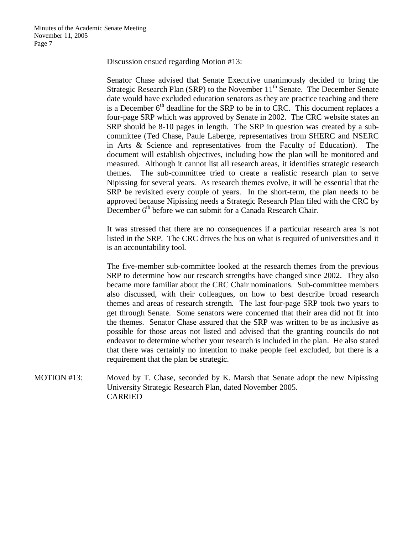Discussion ensued regarding Motion #13:

Senator Chase advised that Senate Executive unanimously decided to bring the Strategic Research Plan (SRP) to the November  $11<sup>th</sup>$  Senate. The December Senate date would have excluded education senators as they are practice teaching and there is a December  $6<sup>th</sup>$  deadline for the SRP to be in to CRC. This document replaces a four-page SRP which was approved by Senate in 2002. The CRC website states an SRP should be 8-10 pages in length. The SRP in question was created by a subcommittee (Ted Chase, Paule Laberge, representatives from SHERC and NSERC in Arts & Science and representatives from the Faculty of Education). The document will establish objectives, including how the plan will be monitored and measured. Although it cannot list all research areas, it identifies strategic research themes. The sub-committee tried to create a realistic research plan to serve Nipissing for several years. As research themes evolve, it will be essential that the SRP be revisited every couple of years. In the short-term, the plan needs to be approved because Nipissing needs a Strategic Research Plan filed with the CRC by December  $6<sup>th</sup>$  before we can submit for a Canada Research Chair.

It was stressed that there are no consequences if a particular research area is not listed in the SRP. The CRC drives the bus on what is required of universities and it is an accountability tool.

The five-member sub-committee looked at the research themes from the previous SRP to determine how our research strengths have changed since 2002. They also became more familiar about the CRC Chair nominations. Sub-committee members also discussed, with their colleagues, on how to best describe broad research themes and areas of research strength. The last four-page SRP took two years to get through Senate. Some senators were concerned that their area did not fit into the themes. Senator Chase assured that the SRP was written to be as inclusive as possible for those areas not listed and advised that the granting councils do not endeavor to determine whether your research is included in the plan. He also stated that there was certainly no intention to make people feel excluded, but there is a requirement that the plan be strategic.

MOTION #13: Moved by T. Chase, seconded by K. Marsh that Senate adopt the new Nipissing University Strategic Research Plan, dated November 2005. CARRIED